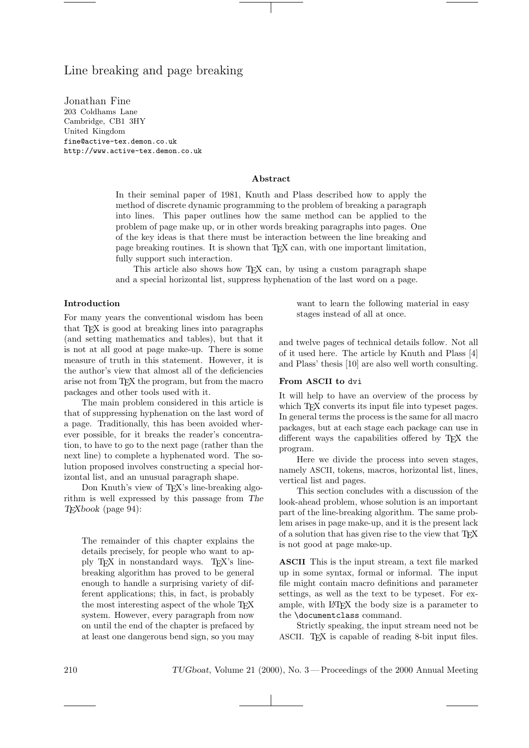# Line breaking and page breaking

Jonathan Fine 203 Coldhams Lane Cambridge, CB1 3HY United Kingdom fine@active-tex.demon.co.uk http://www.active-tex.demon.co.uk

# Abstract

In their seminal paper of 1981, Knuth and Plass described how to apply the method of discrete dynamic programming to the problem of breaking a paragraph into lines. This paper outlines how the same method can be applied to the problem of page make up, or in other words breaking paragraphs into pages. One of the key ideas is that there must be interaction between the line breaking and page breaking routines. It is shown that TEX can, with one important limitation, fully support such interaction.

This article also shows how TFX can, by using a custom paragraph shape and a special horizontal list, suppress hyphenation of the last word on a page.

#### Introduction

For many years the conventional wisdom has been that TEX is good at breaking lines into paragraphs (and setting mathematics and tables), but that it is not at all good at page make-up. There is some measure of truth in this statement. However, it is the author's view that almost all of the deficiencies arise not from TEX the program, but from the macro packages and other tools used with it.

The main problem considered in this article is that of suppressing hyphenation on the last word of a page. Traditionally, this has been avoided wherever possible, for it breaks the reader's concentration, to have to go to the next page (rather than the next line) to complete a hyphenated word. The solution proposed involves constructing a special horizontal list, and an unusual paragraph shape.

Don Knuth's view of T<sub>EX</sub>'s line-breaking algorithm is well expressed by this passage from The TEXbook (page 94):

The remainder of this chapter explains the details precisely, for people who want to apply TEX in nonstandard ways. TEX's linebreaking algorithm has proved to be general enough to handle a surprising variety of different applications; this, in fact, is probably the most interesting aspect of the whole T<sub>EX</sub> system. However, every paragraph from now on until the end of the chapter is prefaced by at least one dangerous bend sign, so you may

want to learn the following material in easy stages instead of all at once.

and twelve pages of technical details follow. Not all of it used here. The article by Knuth and Plass [4] and Plass' thesis [10] are also well worth consulting.

# From ASCII to dvi

It will help to have an overview of the process by which TFX converts its input file into typeset pages. In general terms the process is the same for all macro packages, but at each stage each package can use in different ways the capabilities offered by TEX the program.

Here we divide the process into seven stages, namely ASCII, tokens, macros, horizontal list, lines, vertical list and pages.

This section concludes with a discussion of the look-ahead problem, whose solution is an important part of the line-breaking algorithm. The same problem arises in page make-up, and it is the present lack of a solution that has given rise to the view that TEX is not good at page make-up.

ASCII This is the input stream, a text file marked up in some syntax, formal or informal. The input file might contain macro definitions and parameter settings, as well as the text to be typeset. For example, with LATEX the body size is a parameter to the \documentclass command.

Strictly speaking, the input stream need not be ASCII. TFX is capable of reading 8-bit input files.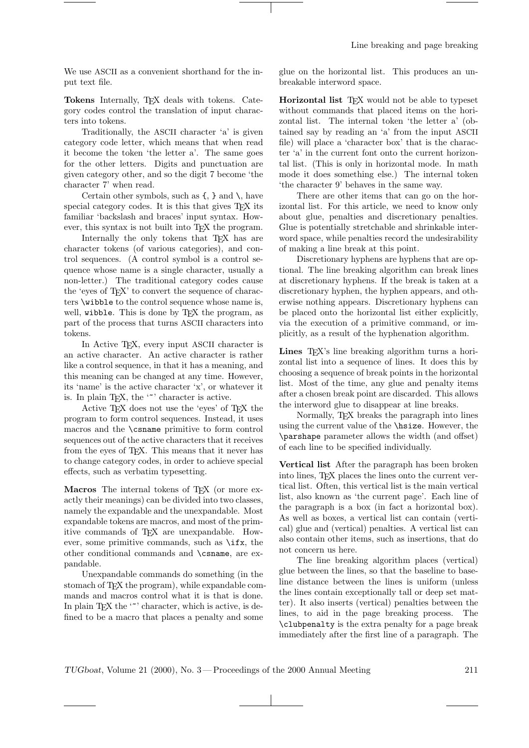We use ASCII as a convenient shorthand for the input text file.

Tokens Internally, TEX deals with tokens. Category codes control the translation of input characters into tokens.

Traditionally, the ASCII character 'a' is given category code letter, which means that when read it become the token 'the letter a'. The same goes for the other letters. Digits and punctuation are given category other, and so the digit 7 become 'the character 7' when read.

Certain other symbols, such as  $\{$ ,  $\}$  and  $\langle$ , have special category codes. It is this that gives T<sub>EX</sub> its familiar 'backslash and braces' input syntax. However, this syntax is not built into T<sub>E</sub>X the program.

Internally the only tokens that T<sub>EX</sub> has are character tokens (of various categories), and control sequences. (A control symbol is a control sequence whose name is a single character, usually a non-letter.) The traditional category codes cause the 'eyes of TEX' to convert the sequence of characters \wibble to the control sequence whose name is, well, wibble. This is done by T<sub>E</sub>X the program, as part of the process that turns ASCII characters into tokens.

In Active TEX, every input ASCII character is an active character. An active character is rather like a control sequence, in that it has a meaning, and this meaning can be changed at any time. However, its 'name' is the active character 'x', or whatever it is. In plain T<sub>E</sub>X, the '<sup>\*</sup>' character is active.

Active TEX does not use the 'eyes' of TEX the program to form control sequences. Instead, it uses macros and the \csname primitive to form control sequences out of the active characters that it receives from the eyes of TEX. This means that it never has to change category codes, in order to achieve special effects, such as verbatim typesetting.

Macros The internal tokens of T<sub>F</sub>X (or more exactly their meanings) can be divided into two classes, namely the expandable and the unexpandable. Most expandable tokens are macros, and most of the primitive commands of TEX are unexpandable. However, some primitive commands, such as \ifx, the other conditional commands and \csname, are expandable.

Unexpandable commands do something (in the stomach of TEX the program), while expandable commands and macros control what it is that is done. In plain T<sub>E</sub>X the  $\cdot\cdot\cdot$  character, which is active, is defined to be a macro that places a penalty and some

glue on the horizontal list. This produces an unbreakable interword space.

Horizontal list TEX would not be able to typeset without commands that placed items on the horizontal list. The internal token 'the letter a' (obtained say by reading an 'a' from the input ASCII file) will place a 'character box' that is the character 'a' in the current font onto the current horizontal list. (This is only in horizontal mode. In math mode it does something else.) The internal token 'the character 9' behaves in the same way.

There are other items that can go on the horizontal list. For this article, we need to know only about glue, penalties and discretionary penalties. Glue is potentially stretchable and shrinkable interword space, while penalties record the undesirability of making a line break at this point.

Discretionary hyphens are hyphens that are optional. The line breaking algorithm can break lines at discretionary hyphens. If the break is taken at a discretionary hyphen, the hyphen appears, and otherwise nothing appears. Discretionary hyphens can be placed onto the horizontal list either explicitly, via the execution of a primitive command, or implicitly, as a result of the hyphenation algorithm.

Lines T<sub>EX</sub>'s line breaking algorithm turns a horizontal list into a sequence of lines. It does this by choosing a sequence of break points in the horizontal list. Most of the time, any glue and penalty items after a chosen break point are discarded. This allows the interword glue to disappear at line breaks.

Normally, TEX breaks the paragraph into lines using the current value of the \hsize. However, the \parshape parameter allows the width (and offset) of each line to be specified individually.

Vertical list After the paragraph has been broken into lines, T<sub>EX</sub> places the lines onto the current vertical list. Often, this vertical list is the main vertical list, also known as 'the current page'. Each line of the paragraph is a box (in fact a horizontal box). As well as boxes, a vertical list can contain (vertical) glue and (vertical) penalties. A vertical list can also contain other items, such as insertions, that do not concern us here.

The line breaking algorithm places (vertical) glue between the lines, so that the baseline to baseline distance between the lines is uniform (unless the lines contain exceptionally tall or deep set matter). It also inserts (vertical) penalties between the lines, to aid in the page breaking process. The \clubpenalty is the extra penalty for a page break immediately after the first line of a paragraph. The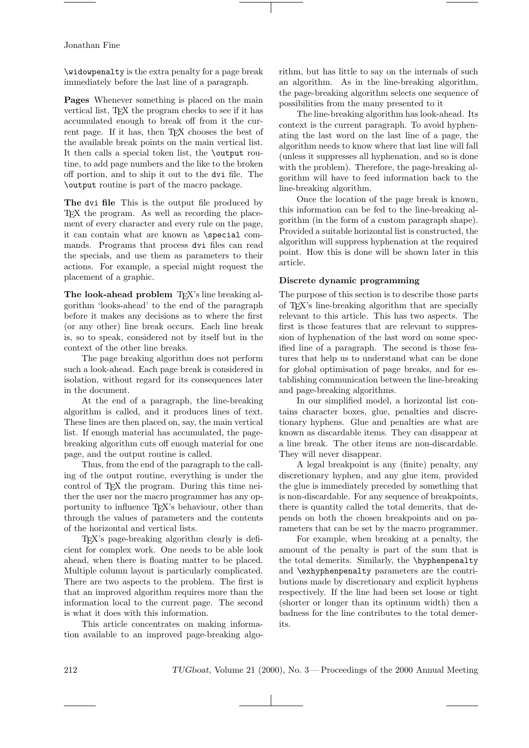\widowpenalty is the extra penalty for a page break immediately before the last line of a paragraph.

Pages Whenever something is placed on the main vertical list, TEX the program checks to see if it has accumulated enough to break off from it the current page. If it has, then TFX chooses the best of the available break points on the main vertical list. It then calls a special token list, the \output routine, to add page numbers and the like to the broken off portion, and to ship it out to the dvi file. The \output routine is part of the macro package.

The dvi file This is the output file produced by TEX the program. As well as recording the placement of every character and every rule on the page, it can contain what are known as \special commands. Programs that process dvi files can read the specials, and use them as parameters to their actions. For example, a special might request the placement of a graphic.

The look-ahead problem TFX's line breaking algorithm 'looks-ahead' to the end of the paragraph before it makes any decisions as to where the first (or any other) line break occurs. Each line break is, so to speak, considered not by itself but in the context of the other line breaks.

The page breaking algorithm does not perform such a look-ahead. Each page break is considered in isolation, without regard for its consequences later in the document.

At the end of a paragraph, the line-breaking algorithm is called, and it produces lines of text. These lines are then placed on, say, the main vertical list. If enough material has accumulated, the pagebreaking algorithm cuts off enough material for one page, and the output routine is called.

Thus, from the end of the paragraph to the calling of the output routine, everything is under the control of T<sub>F</sub>X the program. During this time neither the user nor the macro programmer has any opportunity to influence TEX's behaviour, other than through the values of parameters and the contents of the horizontal and vertical lists.

TEX's page-breaking algorithm clearly is deficient for complex work. One needs to be able look ahead, when there is floating matter to be placed. Multiple column layout is particularly complicated. There are two aspects to the problem. The first is that an improved algorithm requires more than the information local to the current page. The second is what it does with this information.

This article concentrates on making information available to an improved page-breaking algorithm, but has little to say on the internals of such an algorithm. As in the line-breaking algorithm, the page-breaking algorithm selects one sequence of possibilities from the many presented to it

The line-breaking algorithm has look-ahead. Its context is the current paragraph. To avoid hyphenating the last word on the last line of a page, the algorithm needs to know where that last line will fall (unless it suppresses all hyphenation, and so is done with the problem). Therefore, the page-breaking algorithm will have to feed information back to the line-breaking algorithm.

Once the location of the page break is known, this information can be fed to the line-breaking algorithm (in the form of a custom paragraph shape). Provided a suitable horizontal list is constructed, the algorithm will suppress hyphenation at the required point. How this is done will be shown later in this article.

#### Discrete dynamic programming

The purpose of this section is to describe those parts of TEX's line-breaking algorithm that are specially relevant to this article. This has two aspects. The first is those features that are relevant to suppression of hyphenation of the last word on some specified line of a paragraph. The second is those features that help us to understand what can be done for global optimisation of page breaks, and for establishing communication between the line-breaking and page-breaking algorithms.

In our simplified model, a horizontal list contains character boxes, glue, penalties and discretionary hyphens. Glue and penalties are what are known as discardable items. They can disappear at a line break. The other items are non-discardable. They will never disappear.

A legal breakpoint is any (finite) penalty, any discretionary hyphen, and any glue item, provided the glue is immediately preceded by something that is non-discardable. For any sequence of breakpoints, there is quantity called the total demerits, that depends on both the chosen breakpoints and on parameters that can be set by the macro programmer.

For example, when breaking at a penalty, the amount of the penalty is part of the sum that is the total demerits. Similarly, the \hyphenpenalty and \exhyphenpenalty parameters are the contributions made by discretionary and explicit hyphens respectively. If the line had been set loose or tight (shorter or longer than its optimum width) then a badness for the line contributes to the total demerits.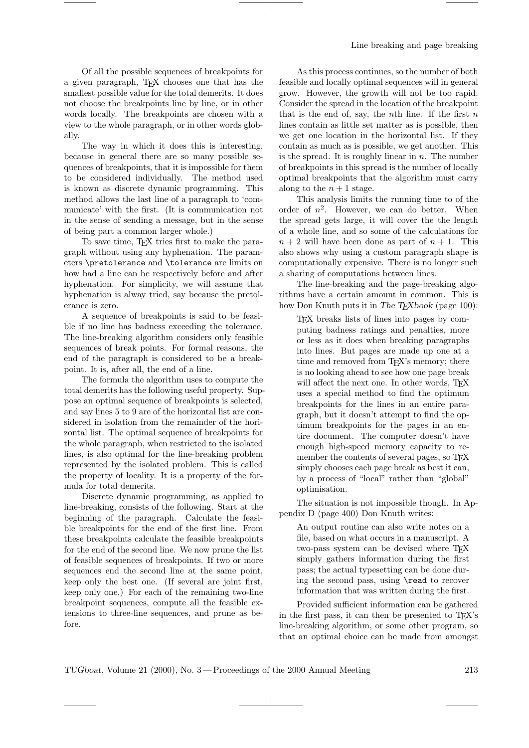Of all the possible sequences of breakpoints for a given paragraph, TEX chooses one that has the smallest possible value for the total demerits. It does not choose the breakpoints line by line, or in other words locally. The breakpoints are chosen with a view to the whole paragraph, or in other words globally.

The way in which it does this is interesting, because in general there are so many possible sequences of breakpoints, that it is impossible for them to be considered individually. The method used is known as discrete dynamic programming. This method allows the last line of a paragraph to 'communicate' with the first. (It is communication not in the sense of sending a message, but in the sense of being part a common larger whole.)

To save time, TEX tries first to make the paragraph without using any hyphenation. The parameters \pretolerance and \tolerance are limits on how bad a line can be respectively before and after hyphenation. For simplicity, we will assume that hyphenation is alway tried, say because the pretolerance is zero.

A sequence of breakpoints is said to be feasible if no line has badness exceeding the tolerance. The line-breaking algorithm considers only feasible sequences of break points. For formal reasons, the end of the paragraph is considered to be a breakpoint. It is, after all, the end of a line.

The formula the algorithm uses to compute the total demerits has the following useful property. Suppose an optimal sequence of breakpoints is selected, and say lines 5 to 9 are of the horizontal list are considered in isolation from the remainder of the horizontal list. The optimal sequence of breakpoints for the whole paragraph, when restricted to the isolated lines, is also optimal for the line-breaking problem represented by the isolated problem. This is called the property of locality. It is a property of the formula for total demerits.

Discrete dynamic programming, as applied to line-breaking, consists of the following. Start at the beginning of the paragraph. Calculate the feasible breakpoints for the end of the first line. From these breakpoints calculate the feasible breakpoints for the end of the second line. We now prune the list of feasible sequences of breakpoints. If two or more sequences end the second line at the same point, keep only the best one. (If several are joint first, keep only one.) For each of the remaining two-line breakpoint sequences, compute all the feasible extensions to three-line sequences, and prune as before.

As this process continues, so the number of both feasible and locally optimal sequences will in general grow. However, the growth will not be too rapid. Consider the spread in the location of the breakpoint that is the end of, say, the nth line. If the first  $n$ lines contain as little set matter as is possible, then we get one location in the horizontal list. If they contain as much as is possible, we get another. This is the spread. It is roughly linear in  $n$ . The number of breakpoints in this spread is the number of locally optimal breakpoints that the algorithm must carry along to the  $n + 1$  stage.

This analysis limits the running time to of the order of  $n^2$ . However, we can do better. When the spread gets large, it will cover the the length of a whole line, and so some of the calculations for  $n + 2$  will have been done as part of  $n + 1$ . This also shows why using a custom paragraph shape is computationally expensive. There is no longer such a sharing of computations between lines.

The line-breaking and the page-breaking algorithms have a certain amount in common. This is how Don Knuth puts it in The TEXbook (page 100):

TEX breaks lists of lines into pages by computing badness ratings and penalties, more or less as it does when breaking paragraphs into lines. But pages are made up one at a time and removed from T<sub>E</sub>X's memory; there is no looking ahead to see how one page break will affect the next one. In other words, TFX uses a special method to find the optimum breakpoints for the lines in an entire paragraph, but it doesn't attempt to find the optimum breakpoints for the pages in an entire document. The computer doesn't have enough high-speed memory capacity to remember the contents of several pages, so T<sub>E</sub>X simply chooses each page break as best it can, by a process of "local" rather than "global" optimisation.

The situation is not impossible though. In Appendix D (page 400) Don Knuth writes:

An output routine can also write notes on a file, based on what occurs in a manuscript. A two-pass system can be devised where T<sub>EX</sub> simply gathers information during the first pass; the actual typesetting can be done during the second pass, using \read to recover information that was written during the first.

Provided sufficient information can be gathered in the first pass, it can then be presented to TEX's line-breaking algorithm, or some other program, so that an optimal choice can be made from amongst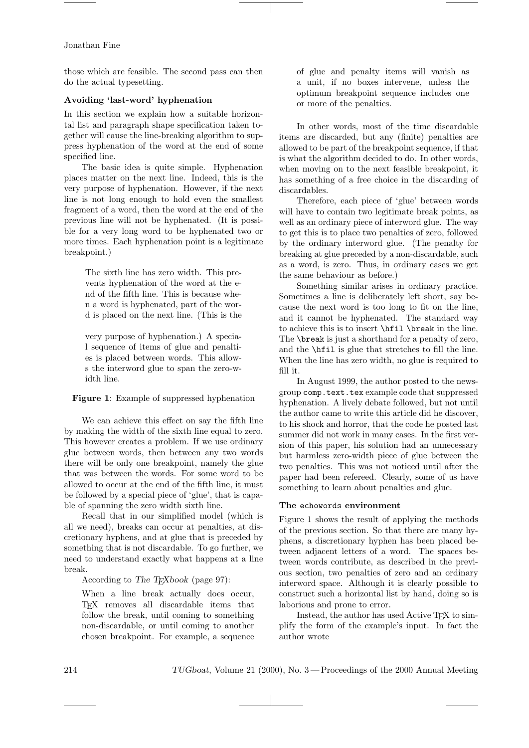those which are feasible. The second pass can then do the actual typesetting.

# Avoiding 'last-word' hyphenation

In this section we explain how a suitable horizontal list and paragraph shape specification taken together will cause the line-breaking algorithm to suppress hyphenation of the word at the end of some specified line.

The basic idea is quite simple. Hyphenation places matter on the next line. Indeed, this is the very purpose of hyphenation. However, if the next line is not long enough to hold even the smallest fragment of a word, then the word at the end of the previous line will not be hyphenated. (It is possible for a very long word to be hyphenated two or more times. Each hyphenation point is a legitimate breakpoint.)

> The sixth line has zero width. This prevents hyphenation of the word at the end of the fifth line. This is because when a word is hyphenated, part of the word is placed on the next line. (This is the

> very purpose of hyphenation.) A special sequence of items of glue and penalties is placed between words. This allows the interword glue to span the zero-width line.

Figure 1: Example of suppressed hyphenation

We can achieve this effect on say the fifth line by making the width of the sixth line equal to zero. This however creates a problem. If we use ordinary glue between words, then between any two words there will be only one breakpoint, namely the glue that was between the words. For some word to be allowed to occur at the end of the fifth line, it must be followed by a special piece of 'glue', that is capable of spanning the zero width sixth line.

Recall that in our simplified model (which is all we need), breaks can occur at penalties, at discretionary hyphens, and at glue that is preceded by something that is not discardable. To go further, we need to understand exactly what happens at a line break.

According to The T<sub>E</sub>Xbook (page 97):

When a line break actually does occur, TEX removes all discardable items that follow the break, until coming to something non-discardable, or until coming to another chosen breakpoint. For example, a sequence

of glue and penalty items will vanish as a unit, if no boxes intervene, unless the optimum breakpoint sequence includes one or more of the penalties.

In other words, most of the time discardable items are discarded, but any (finite) penalties are allowed to be part of the breakpoint sequence, if that is what the algorithm decided to do. In other words, when moving on to the next feasible breakpoint, it has something of a free choice in the discarding of discardables.

Therefore, each piece of 'glue' between words will have to contain two legitimate break points, as well as an ordinary piece of interword glue. The way to get this is to place two penalties of zero, followed by the ordinary interword glue. (The penalty for breaking at glue preceded by a non-discardable, such as a word, is zero. Thus, in ordinary cases we get the same behaviour as before.)

Something similar arises in ordinary practice. Sometimes a line is deliberately left short, say because the next word is too long to fit on the line, and it cannot be hyphenated. The standard way to achieve this is to insert \hfil \break in the line. The **\break** is just a shorthand for a penalty of zero. and the \hfil is glue that stretches to fill the line. When the line has zero width, no glue is required to fill it.

In August 1999, the author posted to the newsgroup comp.text.tex example code that suppressed hyphenation. A lively debate followed, but not until the author came to write this article did he discover, to his shock and horror, that the code he posted last summer did not work in many cases. In the first version of this paper, his solution had an unnecessary but harmless zero-width piece of glue between the two penalties. This was not noticed until after the paper had been refereed. Clearly, some of us have something to learn about penalties and glue.

## The echowords environment

Figure 1 shows the result of applying the methods of the previous section. So that there are many hyphens, a discretionary hyphen has been placed between adjacent letters of a word. The spaces between words contribute, as described in the previous section, two penalties of zero and an ordinary interword space. Although it is clearly possible to construct such a horizontal list by hand, doing so is laborious and prone to error.

Instead, the author has used Active T<sub>E</sub>X to simplify the form of the example's input. In fact the author wrote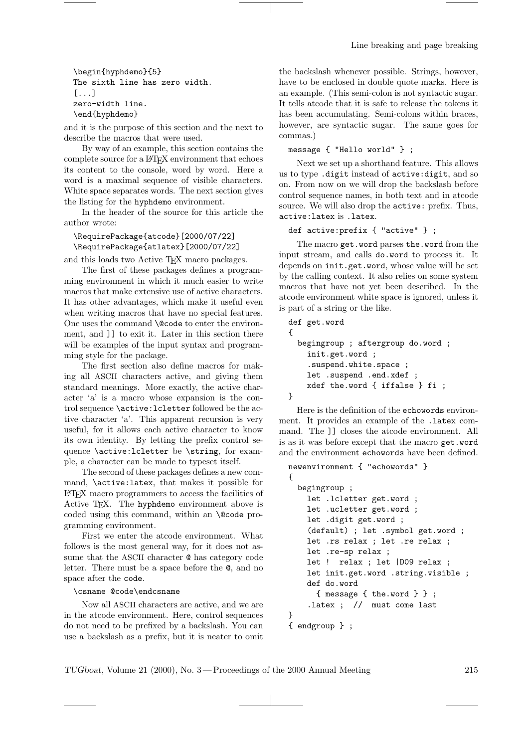\begin{hyphdemo}{5} The sixth line has zero width. [...] zero-width line. \end{hyphdemo}

and it is the purpose of this section and the next to describe the macros that were used.

By way of an example, this section contains the complete source for a LATEX environment that echoes its content to the console, word by word. Here a word is a maximal sequence of visible characters. White space separates words. The next section gives the listing for the hyphdemo environment.

In the header of the source for this article the author wrote:

\RequirePackage{atcode}[2000/07/22] \RequirePackage{atlatex}[2000/07/22]

and this loads two Active TEX macro packages.

The first of these packages defines a programming environment in which it much easier to write macros that make extensive use of active characters. It has other advantages, which make it useful even when writing macros that have no special features. One uses the command **\@code** to enter the environment, and ]] to exit it. Later in this section there will be examples of the input syntax and programming style for the package.

The first section also define macros for making all ASCII characters active, and giving them standard meanings. More exactly, the active character 'a' is a macro whose expansion is the control sequence \active:lcletter followed be the active character 'a'. This apparent recursion is very useful, for it allows each active character to know its own identity. By letting the prefix control sequence \active:lcletter be \string, for example, a character can be made to typeset itself.

The second of these packages defines a new command, \active:latex, that makes it possible for LATEX macro programmers to access the facilities of Active T<sub>E</sub>X. The hyphdemo environment above is coded using this command, within an **\@code** programming environment.

First we enter the atcode environment. What follows is the most general way, for it does not assume that the ASCII character @ has category code letter. There must be a space before the @, and no space after the code.

# \csname @code\endcsname

Now all ASCII characters are active, and we are in the atcode environment. Here, control sequences do not need to be prefixed by a backslash. You can use a backslash as a prefix, but it is neater to omit

the backslash whenever possible. Strings, however, have to be enclosed in double quote marks. Here is an example. (This semi-colon is not syntactic sugar. It tells atcode that it is safe to release the tokens it has been accumulating. Semi-colons within braces, however, are syntactic sugar. The same goes for commas.)

message { "Hello world" } ;

Next we set up a shorthand feature. This allows us to type .digit instead of active:digit, and so on. From now on we will drop the backslash before control sequence names, in both text and in atcode source. We will also drop the active: prefix. Thus, active:latex is .latex.

def active:prefix { "active" } ;

The macro get.word parses the.word from the input stream, and calls do.word to process it. It depends on init.get.word, whose value will be set by the calling context. It also relies on some system macros that have not yet been described. In the atcode environment white space is ignored, unless it is part of a string or the like.

```
def get.word
{
  begingroup ; aftergroup do.word ;
    init.get.word ;
    .suspend.white.space ;
    let .suspend .end.xdef ;
    xdef the.word { iffalse } fi ;
}
```
Here is the definition of the echowords environment. It provides an example of the .latex command. The ]] closes the atcode environment. All is as it was before except that the macro get.word and the environment echowords have been defined.

```
newenvironment { "echowords" }
{
  begingroup ;
    let .lcletter get.word ;
    let .ucletter get.word ;
    let .digit get.word ;
    (default) ; let .symbol get.word ;
    let .rs relax ; let .re relax ;
    let .re-sp relax ;
    let ! relax ; let |D09 relax ;
    let init.get.word .string.visible ;
    def do.word
      { message { the.word } } ;
    .latex ; // must come last
}
{ endgroup } ;
```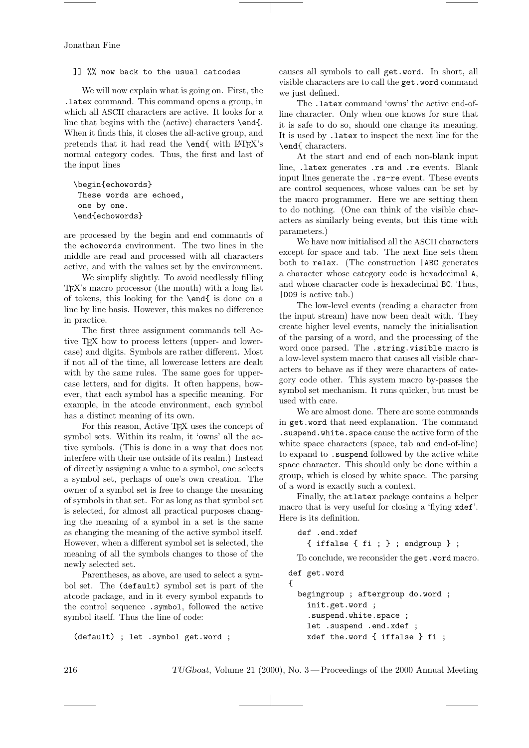]] %% now back to the usual catcodes

We will now explain what is going on. First, the .latex command. This command opens a group, in which all ASCII characters are active. It looks for a line that begins with the (active) characters \end{. When it finds this, it closes the all-active group, and pretends that it had read the **\end{** with LATEX's normal category codes. Thus, the first and last of the input lines

```
\begin{echowords}
These words are echoed,
one by one.
\end{echowords}
```
are processed by the begin and end commands of the echowords environment. The two lines in the middle are read and processed with all characters active, and with the values set by the environment.

We simplify slightly. To avoid needlessly filling TEX's macro processor (the mouth) with a long list of tokens, this looking for the \end{ is done on a line by line basis. However, this makes no difference in practice.

The first three assignment commands tell Active TEX how to process letters (upper- and lowercase) and digits. Symbols are rather different. Most if not all of the time, all lowercase letters are dealt with by the same rules. The same goes for uppercase letters, and for digits. It often happens, however, that each symbol has a specific meaning. For example, in the atcode environment, each symbol has a distinct meaning of its own.

For this reason, Active T<sub>EX</sub> uses the concept of symbol sets. Within its realm, it 'owns' all the active symbols. (This is done in a way that does not interfere with their use outside of its realm.) Instead of directly assigning a value to a symbol, one selects a symbol set, perhaps of one's own creation. The owner of a symbol set is free to change the meaning of symbols in that set. For as long as that symbol set is selected, for almost all practical purposes changing the meaning of a symbol in a set is the same as changing the meaning of the active symbol itself. However, when a different symbol set is selected, the meaning of all the symbols changes to those of the newly selected set.

Parentheses, as above, are used to select a symbol set. The (default) symbol set is part of the atcode package, and in it every symbol expands to the control sequence .symbol, followed the active symbol itself. Thus the line of code:

(default) ; let .symbol get.word ;

causes all symbols to call get.word. In short, all visible characters are to call the get.word command we just defined.

The .latex command 'owns' the active end-ofline character. Only when one knows for sure that it is safe to do so, should one change its meaning. It is used by .latex to inspect the next line for the \end{ characters.

At the start and end of each non-blank input line, .latex generates .rs and .re events. Blank input lines generate the .rs-re event. These events are control sequences, whose values can be set by the macro programmer. Here we are setting them to do nothing. (One can think of the visible characters as similarly being events, but this time with parameters.)

We have now initialised all the ASCII characters except for space and tab. The next line sets them both to relax. (The construction |ABC generates a character whose category code is hexadecimal A, and whose character code is hexadecimal BC. Thus, |D09 is active tab.)

The low-level events (reading a character from the input stream) have now been dealt with. They create higher level events, namely the initialisation of the parsing of a word, and the processing of the word once parsed. The .string.visible macro is a low-level system macro that causes all visible characters to behave as if they were characters of category code other. This system macro by-passes the symbol set mechanism. It runs quicker, but must be used with care.

We are almost done. There are some commands in get.word that need explanation. The command .suspend.white.space cause the active form of the white space characters (space, tab and end-of-line) to expand to .suspend followed by the active white space character. This should only be done within a group, which is closed by white space. The parsing of a word is exactly such a context.

Finally, the atlatex package contains a helper macro that is very useful for closing a 'flying xdef'. Here is its definition.

```
def .end.xdef
  { iffalse { fi ; } ; endgroup } ;
```
To conclude, we reconsider the get.word macro. def get.word

```
{
  begingroup ; aftergroup do.word ;
    init.get.word ;
    .suspend.white.space ;
    let .suspend .end.xdef ;
    xdef the.word { iffalse } fi ;
```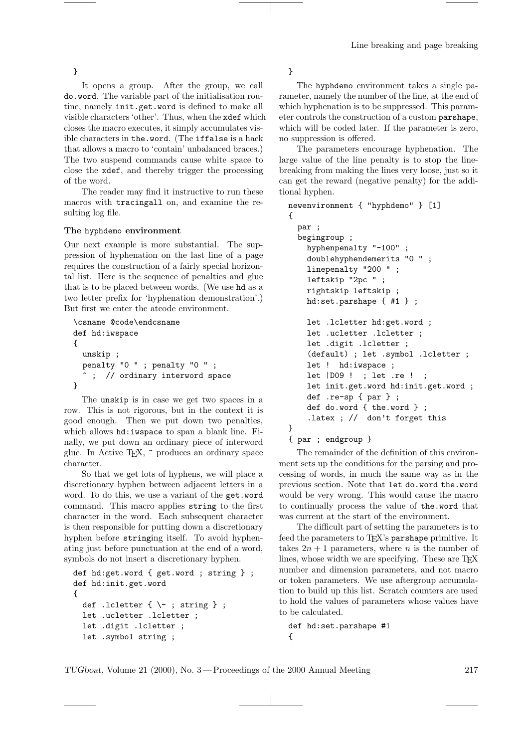}

It opens a group. After the group, we call do.word. The variable part of the initialisation routine, namely init.get.word is defined to make all visible characters 'other'. Thus, when the xdef which closes the macro executes, it simply accumulates visible characters in the.word. (The iffalse is a hack that allows a macro to 'contain' unbalanced braces.) The two suspend commands cause white space to close the xdef, and thereby trigger the processing of the word.

The reader may find it instructive to run these macros with tracingall on, and examine the resulting log file.

# The hyphdemo environment

Our next example is more substantial. The suppression of hyphenation on the last line of a page requires the construction of a fairly special horizontal list. Here is the sequence of penalties and glue that is to be placed between words. (We use hd as a two letter prefix for 'hyphenation demonstration'.) But first we enter the atcode environment.

```
\csname @code\endcsname
def hd:iwspace
{
  unskip ;
  penalty "0 " ; penalty "0 " ;
    ; // ordinary interword space
}
```
The unskip is in case we get two spaces in a row. This is not rigorous, but in the context it is good enough. Then we put down two penalties, which allows hd:iwspace to span a blank line. Finally, we put down an ordinary piece of interword glue. In Active TEX, ~ produces an ordinary space character.

So that we get lots of hyphens, we will place a discretionary hyphen between adjacent letters in a word. To do this, we use a variant of the get.word command. This macro applies string to the first character in the word. Each subsequent character is then responsible for putting down a discretionary hyphen before stringing itself. To avoid hyphenating just before punctuation at the end of a word, symbols do not insert a discretionary hyphen.

```
def hd:get.word { get.word ; string } ;
def hd:init.get.word
{
  def .lcletter {\\ ; string } ;
  let .ucletter .lcletter ;
  let .digit .lcletter ;
  let .symbol string ;
```
}

The hyphdemo environment takes a single parameter, namely the number of the line, at the end of which hyphenation is to be suppressed. This parameter controls the construction of a custom parshape, which will be coded later. If the parameter is zero, no suppression is offered.

The parameters encourage hyphenation. The large value of the line penalty is to stop the linebreaking from making the lines very loose, just so it can get the reward (negative penalty) for the additional hyphen.

```
newenvironment { "hyphdemo" } [1]
{
  par ;
  begingroup ;
    hyphenpenalty "-100" ;
    doublehyphendemerits "0 " ;
    linepenalty "200 " ;
    leftskip "2pc " ;
    rightskip leftskip ;
    hd:set.parshape { #1 } ;
    let .lcletter hd:get.word ;
    let .ucletter .lcletter ;
    let .digit .lcletter ;
    (default) ; let .symbol .lcletter ;
    let ! hd:iwspace ;
    let |D09 ! ; let .re ! ;
    let init.get.word hd:init.get.word ;
    def .re-sp { par } ;
    def do.word { the.word } ;
    .latex ; // don't forget this
}
{ par ; endgroup }
```
The remainder of the definition of this environment sets up the conditions for the parsing and processing of words, in much the same way as in the previous section. Note that let do.word the.word would be very wrong. This would cause the macro to continually process the value of the.word that was current at the start of the environment.

The difficult part of setting the parameters is to feed the parameters to T<sub>F</sub>X's parshape primitive. It takes  $2n + 1$  parameters, where n is the number of lines, whose width we are specifying. These are T<sub>EX</sub> number and dimension parameters, and not macro or token parameters. We use aftergroup accumulation to build up this list. Scratch counters are used to hold the values of parameters whose values have to be calculated.

def hd:set.parshape #1 {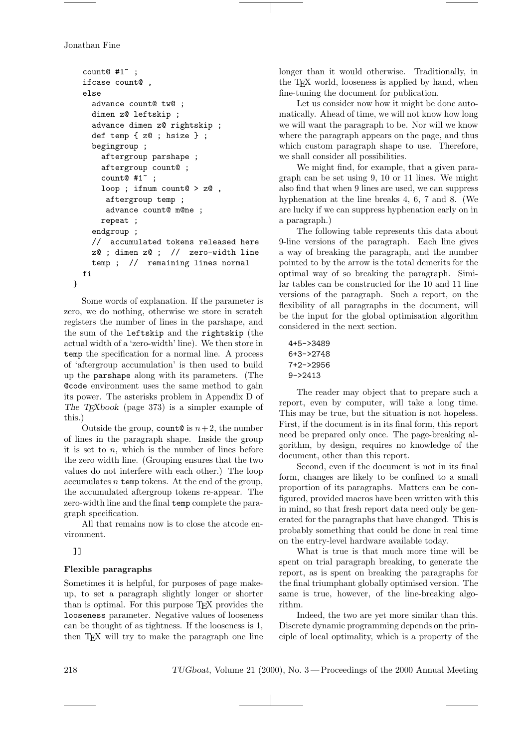```
count@ #1^{\sim};
  ifcase count@ ,
  else
    advance count@ tw@ ;
    dimen z@ leftskip ;
    advance dimen z@ rightskip ;
    def temp { z@ ; hsize } ;
    begingroup ;
      aftergroup parshape ;
      aftergroup count@ ;
      count@#1~
      loop ; ifnum count@ > z@ ,
       aftergroup temp ;
       advance count@ m@ne ;
      repeat ;
    endgroup ;
    // accumulated tokens released here
    z@ ; dimen z@ ; // zero-width line
    temp ; // remaining lines normal
  fi
}
```
Some words of explanation. If the parameter is zero, we do nothing, otherwise we store in scratch registers the number of lines in the parshape, and the sum of the leftskip and the rightskip (the actual width of a 'zero-width' line). We then store in temp the specification for a normal line. A process of 'aftergroup accumulation' is then used to build up the parshape along with its parameters. (The @code environment uses the same method to gain its power. The asterisks problem in Appendix D of The TEXbook (page 373) is a simpler example of this.)

Outside the group, count@ is  $n+2$ , the number of lines in the paragraph shape. Inside the group it is set to  $n$ , which is the number of lines before the zero width line. (Grouping ensures that the two values do not interfere with each other.) The loop accumulates  $n$  temp tokens. At the end of the group, the accumulated aftergroup tokens re-appear. The zero-width line and the final temp complete the paragraph specification.

All that remains now is to close the atcode environment.

]]

# Flexible paragraphs

Sometimes it is helpful, for purposes of page makeup, to set a paragraph slightly longer or shorter than is optimal. For this purpose TEX provides the looseness parameter. Negative values of looseness can be thought of as tightness. If the looseness is 1, then T<sub>E</sub>X will try to make the paragraph one line longer than it would otherwise. Traditionally, in the TEX world, looseness is applied by hand, when fine-tuning the document for publication.

Let us consider now how it might be done automatically. Ahead of time, we will not know how long we will want the paragraph to be. Nor will we know where the paragraph appears on the page, and thus which custom paragraph shape to use. Therefore, we shall consider all possibilities.

We might find, for example, that a given paragraph can be set using 9, 10 or 11 lines. We might also find that when 9 lines are used, we can suppress hyphenation at the line breaks 4, 6, 7 and 8. (We are lucky if we can suppress hyphenation early on in a paragraph.)

The following table represents this data about 9-line versions of the paragraph. Each line gives a way of breaking the paragraph, and the number pointed to by the arrow is the total demerits for the optimal way of so breaking the paragraph. Similar tables can be constructed for the 10 and 11 line versions of the paragraph. Such a report, on the flexibility of all paragraphs in the document, will be the input for the global optimisation algorithm considered in the next section.

```
4+5->3489
6+3->2748
7+2->2956
9->2413
```
The reader may object that to prepare such a report, even by computer, will take a long time. This may be true, but the situation is not hopeless. First, if the document is in its final form, this report need be prepared only once. The page-breaking algorithm, by design, requires no knowledge of the document, other than this report.

Second, even if the document is not in its final form, changes are likely to be confined to a small proportion of its paragraphs. Matters can be configured, provided macros have been written with this in mind, so that fresh report data need only be generated for the paragraphs that have changed. This is probably something that could be done in real time on the entry-level hardware available today.

What is true is that much more time will be spent on trial paragraph breaking, to generate the report, as is spent on breaking the paragraphs for the final triumphant globally optimised version. The same is true, however, of the line-breaking algorithm.

Indeed, the two are yet more similar than this. Discrete dynamic programming depends on the principle of local optimality, which is a property of the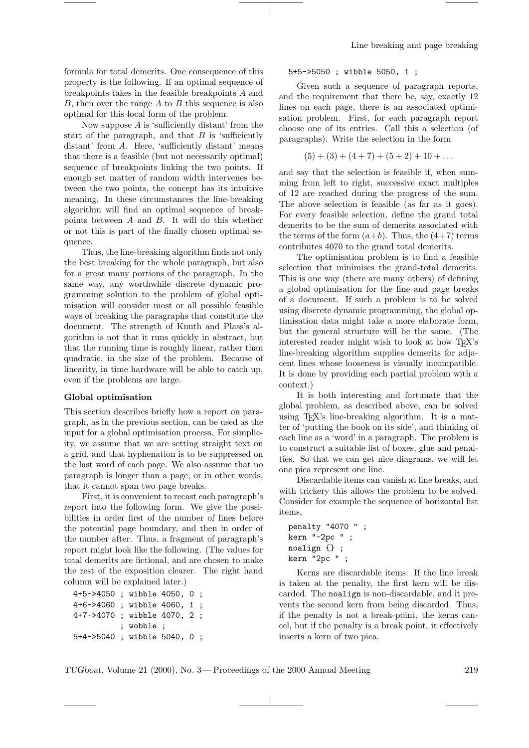formula for total demerits. One consequence of this property is the following. If an optimal sequence of breakpoints takes in the feasible breakpoints A and  $B$ , then over the range  $A$  to  $B$  this sequence is also optimal for this local form of the problem.

Now suppose  $A$  is 'sufficiently distant' from the start of the paragraph, and that  $B$  is 'sufficiently distant' from A. Here, 'sufficiently distant' means that there is a feasible (but not necessarily optimal) sequence of breakpoints linking the two points. If enough set matter of random width intervenes between the two points, the concept has its intuitive meaning. In these circumstances the line-breaking algorithm will find an optimal sequence of breakpoints between A and B. It will do this whether or not this is part of the finally chosen optimal sequence.

Thus, the line-breaking algorithm finds not only the best breaking for the whole paragraph, but also for a great many portions of the paragraph. In the same way, any worthwhile discrete dynamic programming solution to the problem of global optimisation will consider most or all possible feasible ways of breaking the paragraphs that constitute the document. The strength of Knuth and Plass's algorithm is not that it runs quickly in abstract, but that the running time is roughly linear, rather than quadratic, in the size of the problem. Because of linearity, in time hardware will be able to catch up, even if the problems are large.

#### Global optimisation

This section describes briefly how a report on paragraph, as in the previous section, can be used as the input for a global optimisation process. For simplicity, we assume that we are setting straight text on a grid, and that hyphenation is to be suppressed on the last word of each page. We also assume that no paragraph is longer than a page, or in other words, that it cannot span two page breaks.

First, it is convenient to recast each paragraph's report into the following form. We give the possibilities in order first of the number of lines before the potential page boundary, and then in order of the number after. Thus, a fragment of paragraph's report might look like the following. (The values for total demerits are fictional, and are chosen to make the rest of the exposition clearer. The right hand column will be explained later.)

```
4+5->4050 ; wibble 4050, 0 ;
4+6->4060 ; wibble 4060, 1 ;
4+7->4070 ; wibble 4070, 2 ;
          ; wobble ;
5+4->5040 ; wibble 5040, 0 ;
```
## 5+5->5050 ; wibble 5050, 1 ;

Given such a sequence of paragraph reports, and the requirement that there be, say, exactly 12 lines on each page, there is an associated optimisation problem. First, for each paragraph report choose one of its entries. Call this a selection (of paragraphs). Write the selection in the form

$$
(5) + (3) + (4 + 7) + (5 + 2) + 10 + \dots
$$

and say that the selection is feasible if, when summing from left to right, successive exact multiples of 12 are reached during the progress of the sum. The above selection is feasible (as far as it goes). For every feasible selection, define the grand total demerits to be the sum of demerits associated with the terms of the form  $(a+b)$ . Thus, the  $(4+7)$  terms contributes 4070 to the grand total demerits.

The optimisation problem is to find a feasible selection that minimises the grand-total demerits. This is one way (there are many others) of defining a global optimisation for the line and page breaks of a document. If such a problem is to be solved using discrete dynamic programming, the global optimisation data might take a more elaborate form, but the general structure will be the same. (The interested reader might wish to look at how TEX's line-breaking algorithm supplies demerits for adjacent lines whose looseness is visually incompatible. It is done by providing each partial problem with a context.)

It is both interesting and fortunate that the global problem, as described above, can be solved using TEX's line-breaking algorithm. It is a matter of 'putting the book on its side', and thinking of each line as a 'word' in a paragraph. The problem is to construct a suitable list of boxes, glue and penalties. So that we can get nice diagrams, we will let one pica represent one line.

Discardable items can vanish at line breaks, and with trickery this allows the problem to be solved. Consider for example the sequence of horizontal list items,

```
penalty "4070 " ;
kern "-2pc " ;
noalign {} ;
kern "2pc " ;
```
Kerns are discardable items. If the line break is taken at the penalty, the first kern will be discarded. The noalign is non-discardable, and it prevents the second kern from being discarded. Thus, if the penalty is not a break-point, the kerns cancel, but if the penalty is a break point, it effectively inserts a kern of two pica.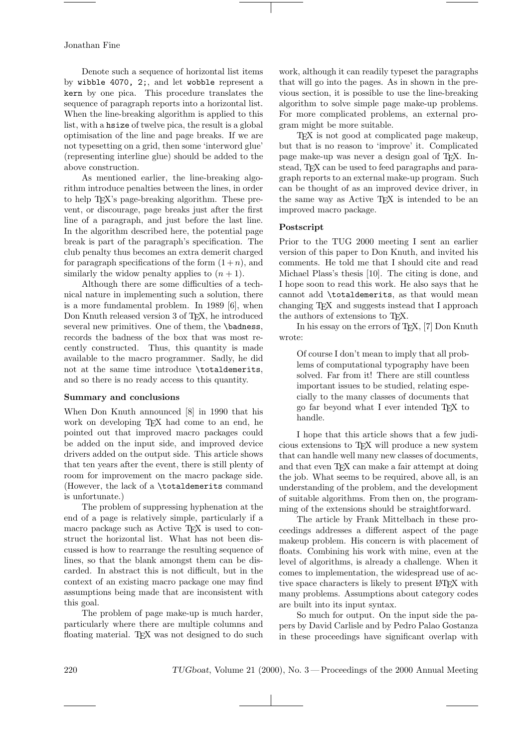Denote such a sequence of horizontal list items by wibble 4070, 2;, and let wobble represent a kern by one pica. This procedure translates the sequence of paragraph reports into a horizontal list. When the line-breaking algorithm is applied to this list, with a hsize of twelve pica, the result is a global optimisation of the line and page breaks. If we are not typesetting on a grid, then some 'interword glue' (representing interline glue) should be added to the above construction.

As mentioned earlier, the line-breaking algorithm introduce penalties between the lines, in order to help TEX's page-breaking algorithm. These prevent, or discourage, page breaks just after the first line of a paragraph, and just before the last line. In the algorithm described here, the potential page break is part of the paragraph's specification. The club penalty thus becomes an extra demerit charged for paragraph specifications of the form  $(1+n)$ , and similarly the widow penalty applies to  $(n + 1)$ .

Although there are some difficulties of a technical nature in implementing such a solution, there is a more fundamental problem. In 1989 [6], when Don Knuth released version 3 of TEX, he introduced several new primitives. One of them, the **\badness**, records the badness of the box that was most recently constructed. Thus, this quantity is made available to the macro programmer. Sadly, he did not at the same time introduce \totaldemerits, and so there is no ready access to this quantity.

#### Summary and conclusions

When Don Knuth announced [8] in 1990 that his work on developing TEX had come to an end, he pointed out that improved macro packages could be added on the input side, and improved device drivers added on the output side. This article shows that ten years after the event, there is still plenty of room for improvement on the macro package side. (However, the lack of a \totaldemerits command is unfortunate.)

The problem of suppressing hyphenation at the end of a page is relatively simple, particularly if a macro package such as Active T<sub>F</sub>X is used to construct the horizontal list. What has not been discussed is how to rearrange the resulting sequence of lines, so that the blank amongst them can be discarded. In abstract this is not difficult, but in the context of an existing macro package one may find assumptions being made that are inconsistent with this goal.

The problem of page make-up is much harder, particularly where there are multiple columns and floating material. TEX was not designed to do such work, although it can readily typeset the paragraphs that will go into the pages. As in shown in the previous section, it is possible to use the line-breaking algorithm to solve simple page make-up problems. For more complicated problems, an external program might be more suitable.

TEX is not good at complicated page makeup, but that is no reason to 'improve' it. Complicated page make-up was never a design goal of TEX. Instead, T<sub>EX</sub> can be used to feed paragraphs and paragraph reports to an external make-up program. Such can be thought of as an improved device driver, in the same way as Active T<sub>E</sub>X is intended to be an improved macro package.

# Postscript

Prior to the TUG 2000 meeting I sent an earlier version of this paper to Don Knuth, and invited his comments. He told me that I should cite and read Michael Plass's thesis [10]. The citing is done, and I hope soon to read this work. He also says that he cannot add \totaldemerits, as that would mean changing TEX and suggests instead that I approach the authors of extensions to TEX.

In his essay on the errors of T<sub>E</sub>X, [7] Don Knuth wrote:

Of course I don't mean to imply that all problems of computational typography have been solved. Far from it! There are still countless important issues to be studied, relating especially to the many classes of documents that go far beyond what I ever intended TEX to handle.

I hope that this article shows that a few judicious extensions to TEX will produce a new system that can handle well many new classes of documents, and that even TFX can make a fair attempt at doing the job. What seems to be required, above all, is an understanding of the problem, and the development of suitable algorithms. From then on, the programming of the extensions should be straightforward.

The article by Frank Mittelbach in these proceedings addresses a different aspect of the page makeup problem. His concern is with placement of floats. Combining his work with mine, even at the level of algorithms, is already a challenge. When it comes to implementation, the widespread use of active space characters is likely to present LAT<sub>EX</sub> with many problems. Assumptions about category codes are built into its input syntax.

So much for output. On the input side the papers by David Carlisle and by Pedro Palao Gostanza in these proceedings have significant overlap with